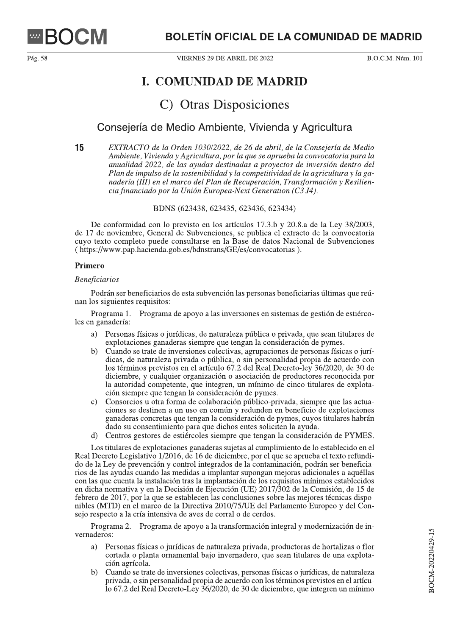# **I. COMUNIDAD DE MADRID**

# C) Otras Disposiciones

# Consejería de Medio Ambiente, Vivienda y Agricultura

15 EXTRACTO de la Orden 1030/2022, de 26 de abril, de la Consejería de Medio Ambiente, Vivienda y Agricultura, por la que se aprueba la convocatoria para la anualidad 2022, de las ayudas destinadas a proyectos de inversión dentro del Plan de impulso de la sostenibilidad y la competitividad de la agricultura y la ganadería (III) en el marco del Plan de Recuperación, Transformación y Resiliencia financiado por la Unión Europea-Next Generation (C3.14).

BDNS (623438, 623435, 623436, 623434)

De conformidad con lo previsto en los artículos 17.3.b y 20.8.a de la Ley 38/2003, de 17 de noviembre, General de Subvenciones, se publica el extracto de la convocatoria cuyo texto completo puede consultarse en la Base de datos Nacional de Subvenciones (https://www.pap.hacienda.gob.es/bdnstrans/GE/es/convocatorias).

## Primero

#### **Beneficiarios**

Podrán ser beneficiarios de esta subvención las personas beneficiarias últimas que reúnan los siguientes requisitos:

Programa 1. Programa de apovo a las inversiones en sistemas de gestión de estiércoles en ganadería:

- $a)$ Personas físicas o jurídicas, de naturaleza pública o privada, que sean titulares de explotaciones ganaderas siempre que tengan la consideración de pymes.
- Cuando se trate de inversiones colectivas, agrupaciones de personas físicas o jurí $b)$ dicas, de naturaleza privada o pública, o sin personalidad propia de acuerdo con los términos previstos en el artículo 67.2 del Real Decreto-ley 36/2020, de 30 de diciembre, y cualquier organización o asociación de productores reconocida por la autoridad competente, que integren, un mínimo de cinco titulares de explotación siempre que tengan la consideración de pymes.
- Consorcios u otra forma de colaboración público-privada, siempre que las actua $c)$ ciones se destinen a un uso en común y redunden en beneficio de explotaciones ganaderas concretas que tengan la consideración de pymes, cuyos titulares habrán dado su consentimiento para que dichos entes soliciten la ayuda.
- d) Centros gestores de estiércoles siempre que tengan la consideración de PYMES.

Los titulares de explotaciones ganaderas sujetas al cumplimiento de lo establecido en el Real Decreto Legislativo 1/2016, de 16 de diciembre, por el que se aprueba el texto refundido de la Ley de prevención y control integrados de la contaminación, podrán ser beneficiarios de las ayudas cuando las medidas a implantar supongan mejoras adicionales a aquéllas con las que cuenta la instalación tras la implantación de los requisitos mínimos establecidos en dicha normativa y en la Decisión de Ejecución (UE) 2017/302 de la Comisión, de 15 de febrero de 2017, por la que se establecen las conclusiones sobre las mejores técnicas disponibles (MTD) en el marco de la Directiva 2010/75/UE del Parlamento Europeo y del Consejo respecto a la cría intensiva de aves de corral o de cerdos.

Programa 2. Programa de apoyo a la transformación integral y modernización de invernaderos:

- a) Personas físicas o jurídicas de naturaleza privada, productoras de hortalizas o flor cortada o planta ornamental bajo invernadero, que sean titulares de una explotación agrícola.
- $b)$ Cuando se trate de inversiones colectivas, personas físicas o jurídicas, de naturaleza privada, o sin personalidad propia de acuerdo con los términos previstos en el artículo 67.2 del Real Decreto-Ley 36/2020, de 30 de diciembre, que integren un mínimo

Pág. 58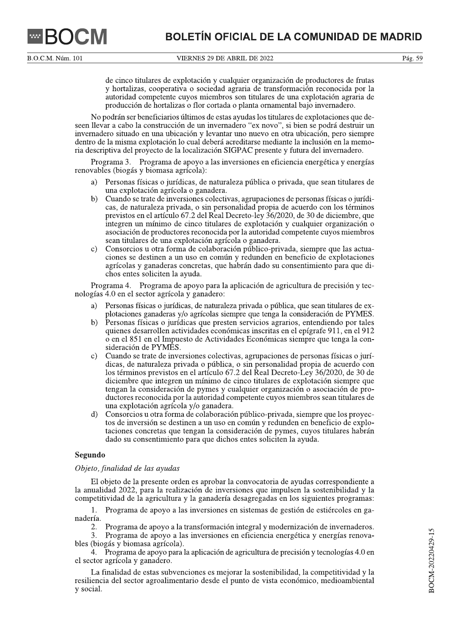VIERNES 29 DE ABRIL DE 2022

de cinco titulares de explotación y cualquier organización de productores de frutas y hortalizas, cooperativa o sociedad agraria de transformación reconocida por la autoridad competente cuyos miembros son titulares de una explotación agraria de producción de hortalizas o flor cortada o planta ornamental bajo invernadero.

No podrán ser beneficiarios últimos de estas ayudas los titulares de explotaciones que deseen llevar a cabo la construcción de un invernadero "ex novo", si bien se podrá destruir un invernadero situado en una ubicación y levantar uno nuevo en otra ubicación, pero siempre dentro de la misma explotación lo cual deberá acreditarse mediante la inclusión en la memoria descriptiva del proyecto de la localización SIGPAC presente y futura del invernadero.

Programa 3. Programa de apoyo a las inversiones en eficiencia energética y energías renovables (biogás y biomasa agrícola):

- Personas físicas o jurídicas, de naturaleza pública o privada, que sean titulares de a) una explotación agrícola o ganadera.
- $\mathbf{b}$ Cuando se trate de inversiones colectivas, agrupaciones de personas físicas o jurídicas, de naturaleza privada, o sin personalidad propia de acuerdo con los términos previstos en el artículo 67.2 del Real Decreto-ley 36/2020, de 30 de diciembre, que integren un mínimo de cinco titulares de explotación y cualquier organización o asociación de productores reconocida por la autoridad competente cuyos miembros sean titulares de una explotación agrícola o ganadera.
- Consorcios u otra forma de colaboración público-privada, siempre que las actua- $\mathbf{c}$ ) ciones se destinen a un uso en común y redunden en beneficio de explotaciones agrícolas y ganaderas concretas, que habrán dado su consentimiento para que dichos entes soliciten la ayuda.

Programa 4. Programa de apoyo para la aplicación de agricultura de precisión y tecnologías 4.0 en el sector agrícola y ganadero:

- Personas físicas o jurídicas, de naturaleza privada o pública, que sean titulares de exa) plotaciones ganaderas y/o agrícolas siempre que tenga la consideración de PYMES.
- $b)$ Personas físicas o jurídicas que presten servicios agrarios, entendiendo por tales quienes desarrollen actividades económicas inscritas en el epígrafe 911, en el 912 o en el 851 en el Impuesto de Actividades Económicas siempre que tenga la consideración de PYMES.
- $\mathbf{c})$ Cuando se trate de inversiones colectivas, agrupaciones de personas físicas o jurídicas, de naturaleza privada o pública, o sin personalidad propia de acuerdo con los términos previstos en el artículo 67.2 del Real Decreto-Ley 36/2020, de 30 de diciembre que integren un mínimo de cinco titulares de explotación siempre que tengan la consideración de pymes y cualquier organización o asociación de productores reconocida por la autoridad competente cuyos miembros sean titulares de una explotación agrícola y/o ganadera.
- Consorcios u otra forma de colaboración público-privada, siempre que los proyec $d)$ tos de inversión se destinen a un uso en común y redunden en beneficio de explotaciones concretas que tengan la consideración de pymes, cuyos titulares habrán dado su consentimiento para que dichos entes soliciten la ayuda.

## Segundo

#### Objeto, finalidad de las ayudas

El objeto de la presente orden es aprobar la convocatoria de ayudas correspondiente a la anualidad 2022, para la realización de inversiones que impulsen la sostenibilidad y la competitividad de la agricultura y la ganadería desagregadas en los siguientes programas:

 $1.$ Programa de apoyo a las inversiones en sistemas de gestión de estiércoles en ganadería.

Programa de apoyo a la transformación integral y modernización de invernaderos.  $2.$ 

3. Programa de apoyo a las inversiones en eficiencia energética y energías renovables (biogás y biomasa agrícola).

4. Programa de apoyo para la aplicación de agricultura de precisión y tecnologías 4.0 en el sector agrícola y ganadero.

La finalidad de estas subvenciones es mejorar la sostenibilidad, la competitividad y la resiliencia del sector agroalimentario desde el punto de vista económico, medioambiental y social.

Pág. 59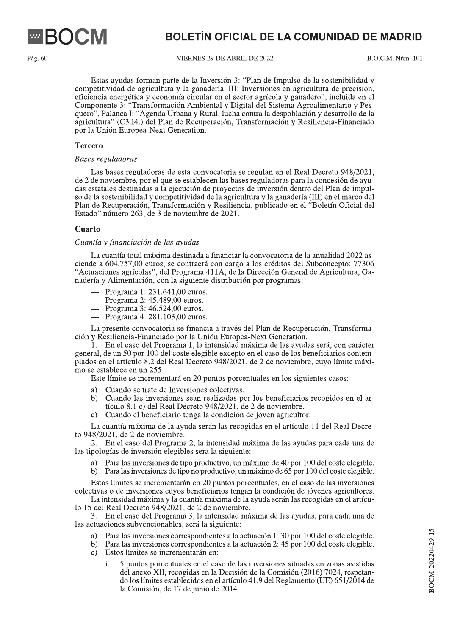VIERNES 29 DE ABRIL DE 2022

B.O.C.M. Núm. 101

Estas ayudas forman parte de la Inversión 3: "Plan de Impulso de la sostenibilidad y competitividad de agricultura y la ganadería. III: Inversiones en agricultura de precisión, eficiencia energética y economía circular en el sector agrícola y ganadero", incluida en el Componente 3: "Transformación Ambiental y Digital del Sistema Agroalimentario y Pesquero", Palanca I: "Agenda Urbana y Rural, lucha contra la despoblación y desarrollo de la agricultura" (C3.I4.) del Plan de Recuperación, Transformación y Resiliencia-Financiado por la Unión Europea-Next Generation.

# **Tercero**

#### Bases reguladoras

Las bases reguladoras de esta convocatoria se regulan en el Real Decreto 948/2021, de 2 de noviembre, por el que se establecen las bases reguladoras para la concesión de ayudas estatales destinadas a la ejecución de proyectos de inversión dentro del Plan de impulso de la sostenibilidad y competitividad de la agricultura y la ganadería (III) en el marco del Plan de Recuperación, Transformación y Resiliencia, publicado en el "Boletín Oficial del Estado" número 263, de 3 de noviembre de 2021.

## **Cuarto**

## Cuantía y financiación de las ayudas

La cuantía total máxima destinada a financiar la convocatoria de la anualidad 2022 asciende a 604.757,00 euros, se contraerá con cargo a los créditos del Subconcepto: 77306 "Actuaciones agrícolas", del Programa 411A, de la Dirección General de Agricultura, Ganadería y Alimentación, con la siguiente distribución por programas:

- $-$  Programa 1: 231.641,00 euros.
- $-$  Programa 2: 45.489,00 euros.
- $-$  Programa 3: 46.524,00 euros.
- Programa 4: 281.103,00 euros.

La presente convocatoria se financia a través del Plan de Recuperación. Transformación y Resiliencia-Financiado por la Unión Europea-Next Generation.

1. En el caso del Programa 1, la intensidad máxima de las ayudas será, con carácter general, de un 50 por 100 del coste elegible excepto en el caso de los beneficiarios contemplados en el artículo 8.2 del Real Decreto 948/2021, de 2 de noviembre, cuyo límite máximo se establece en un 255.

Este límite se incrementará en 20 puntos porcentuales en los siguientes casos:

- a) Cuando se trate de Inversiones colectivas.
- Cuando las inversiones sean realizadas por los beneficiarios recogidos en el ar- $\mathbf{b}$ tículo 8.1 c) del Real Decreto 948/2021, de 2 de noviembre.
- Cuando el beneficiario tenga la condición de joven agricultor.  $\mathbf{c})$

La cuantía máxima de la ayuda serán las recogidas en el artículo 11 del Real Decreto 948/2021, de 2 de noviembre.

2. En el caso del Programa 2, la intensidad máxima de las avudas para cada una de las tipologías de inversión elegibles será la siguiente:

- Para las inversiones de tipo productivo, un máximo de 40 por 100 del coste elegible. a)
- Para las inversiones de tipo no productivo, un máximo de  $65$  por 100 del coste elegible. b)

Estos límites se incrementarán en 20 puntos porcentuales, en el caso de las inversiones colectivas o de inversiones cuyos beneficiarios tengan la condición de jóvenes agricultores.

La intensidad máxima y la cuantía máxima de la ayuda serán las recogidas en el artículo 15 del Real Decreto 948/2021, de 2 de noviembre.

3. En el caso del Programa 3, la intensidad máxima de las ayudas, para cada una de las actuaciones subvencionables, será la siguiente:

- Para las inversiones correspondientes a la actuación 1:30 por 100 del coste elegible. a)
- b) Para las inversiones correspondientes a la actuación 2:45 por 100 del coste elegible.
- Estos límites se incrementarán en:  $\mathbf{c}$ 
	- 5 puntos porcentuales en el caso de las inversiones situadas en zonas asistidas i. del anexo XII, recogidas en la Decisión de la Comisión (2016) 7024, respetando los límites establecidos en el artículo 41.9 del Reglamento (UE) 651/2014 de la Comisión, de 17 de junio de 2014.